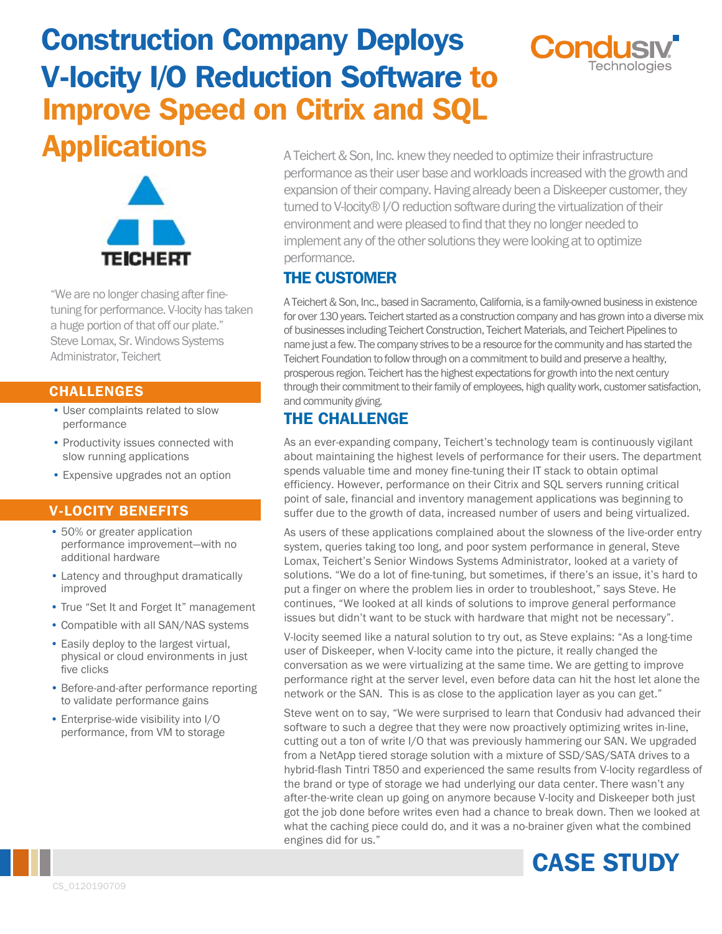# Construction Company Deploys V-locity I/O Reduction Software to Improve Speed on Citrix and SQL





"We are no longer chasing after finetuning for performance. V-locity has taken a huge portion of that off our plate." Steve Lomax, Sr. Windows Systems Administrator, Teichert

#### CHALLENGES

- User complaints related to slow performance
- Productivity issues connected with slow running applications
- Expensive upgrades not an option

#### V-LOCITY BENEFITS

- 50% or greater application performance improvement—with no additional hardware
- Latency and throughput dramatically improved
- True "Set It and Forget It" management
- Compatible with all SAN/NAS systems
- Easily deploy to the largest virtual, physical or cloud environments in just five clicks
- Before-and-after performance reporting to validate performance gains
- Enterprise-wide visibility into I/O performance, from VM to storage

Applications A Teichert & Son, Inc. knew they needed to optimize their infrastructure performance as their user base and workloads increased with the growth and expansion of their company. Having already been a Diskeeper customer, they turned to V-locity® I/O reduction software during the virtualization of their environment andwere pleased to find that they no longer needed to implement any of the other solutions they were looking at to optimize performance.

## THE CUSTOMER

A Teichert &Son, Inc., based in Sacramento, California, is a family-owned business in existence for over 130 years. Teichert started as a construction company and has grown into a diverse mix of businesses including Teichert Construction, Teichert Materials, and Teichert Pipelines to name just a few. The company strives to be a resource for the community and has started the Teichert Foundation to follow through on a commitment to build and preserve a healthy, prosperous region. Teichert has the highest expectations for growth into the next century through their commitment to their family of employees, high quality work, customer satisfaction, and community giving.

## THE CHALLENGE

As an ever-expanding company, Teichert's technology team is continuously vigilant about maintaining the highest levels of performance for their users. The department spends valuable time and money fine-tuning their IT stack to obtain optimal efficiency. However, performance on their Citrix and SQL servers running critical point of sale, financial and inventory management applications was beginning to suffer due to the growth of data, increased number of users and being virtualized.

As users of these applications complained about the slowness of the live-order entry system, queries taking too long, and poor system performance in general, Steve Lomax, Teichert's Senior Windows Systems Administrator, looked at a variety of solutions. "We do a lot of fine-tuning, but sometimes, if there's an issue, it's hard to put a finger on where the problem lies in order to troubleshoot," says Steve. He continues, "We looked at all kinds of solutions to improve general performance issues but didn't want to be stuck with hardware that might not be necessary".

V-locity seemed like a natural solution to try out, as Steve explains: "As a long-time user of Diskeeper, when V-locity came into the picture, it really changed the conversation as we were virtualizing at the same time. We are getting to improve performance right at the server level, even before data can hit the host let alone the network or the SAN. This is as close to the application layer as you can get."

Steve went on to say, "We were surprised to learn that Condusiv had advanced their software to such a degree that they were now proactively optimizing writes in-line, cutting out a ton of write I/O that was previously hammering our SAN. We upgraded from a NetApp tiered storage solution with a mixture of SSD/SAS/SATA drives to a hybrid-flash Tintri T850 and experienced the same results from V-locity regardless of the brand or type of storage we had underlying our data center. There wasn't any after-the-write clean up going on anymore because V-locity and Diskeeper both just got the job done before writes even had a chance to break down. Then we looked at what the caching piece could do, and it was a no-brainer given what the combined engines did for us."